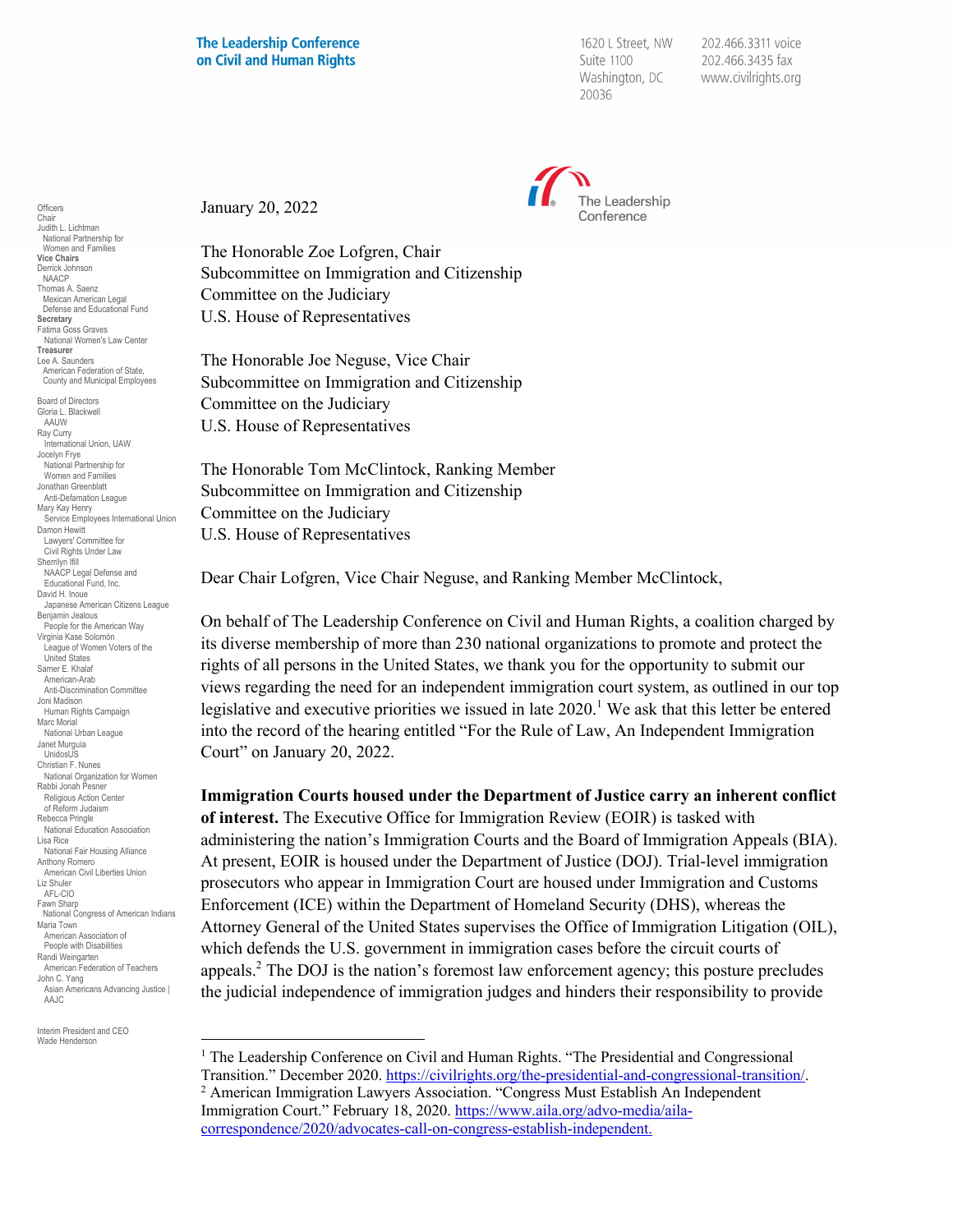1620 L Street, NW Suite 1100 Washington, DC 20036

202.466.3311 voice 202.466.3435 fax www.civilrights.org



January 20, 2022

The Honorable Zoe Lofgren, Chair Subcommittee on Immigration and Citizenship Committee on the Judiciary U.S. House of Representatives

The Honorable Joe Neguse, Vice Chair Subcommittee on Immigration and Citizenship Committee on the Judiciary U.S. House of Representatives

The Honorable Tom McClintock, Ranking Member Subcommittee on Immigration and Citizenship Committee on the Judiciary U.S. House of Representatives

Dear Chair Lofgren, Vice Chair Neguse, and Ranking Member McClintock,

On behalf of The Leadership Conference on Civil and Human Rights, a coalition charged by its diverse membership of more than 230 national organizations to promote and protect the rights of all persons in the United States, we thank you for the opportunity to submit our views regarding the need for an independent immigration court system, as outlined in our top legislative and executive priorities we issued in late 2020.<sup>1</sup> We ask that this letter be entered into the record of the hearing entitled "For the Rule of Law, An Independent Immigration Court" on January 20, 2022.

**Immigration Courts housed under the Department of Justice carry an inherent conflict of interest.** The Executive Office for Immigration Review (EOIR) is tasked with administering the nation's Immigration Courts and the Board of Immigration Appeals (BIA). At present, EOIR is housed under the Department of Justice (DOJ). Trial-level immigration prosecutors who appear in Immigration Court are housed under Immigration and Customs Enforcement (ICE) within the Department of Homeland Security (DHS), whereas the Attorney General of the United States supervises the Office of Immigration Litigation (OIL), which defends the U.S. government in immigration cases before the circuit courts of appeals.2 The DOJ is the nation's foremost law enforcement agency; this posture precludes the judicial independence of immigration judges and hinders their responsibility to provide

Interim President and CEO Wade Henderson

Chair Judith L. Lichtman National Partnership for Women and Families **Vice Chairs** Derrick Johnson NAACP Thomas A. Saenz Mexican American Legal Defense and Educational Fund **Secretary** Fatima Goss Graves National Women's Law Center **Treasurer** Lee A. Saunders American Federation of State, County and Municipal Employees Board of Directors Gloria L. Blackwell AAUW Ray Curry uy Surry<br>International Union, UAW Jocelyn Frye National Partnership for Women and Families Jonathan Greenblatt Anti-Defamation League Mary Kay Henry Service Employees International Union Damon Hewitt Lawyers' Committee for Civil Rights Under Law Sherrilyn Ifill NAACP Legal Defense and Educational Fund, Inc. David H. Inoue Japanese American Citizens League Benjamin Jealous People for the American Way Virginia Kase Solomón League of Women Voters of the United States Samer E. Khalaf American-Arab Anti-Discrimination Committee Joni Madison Human Rights Campaign Marc Morial National Urban League Janet Murguía UnidosUS Christian F. Nunes National Organization for Women Rabbi Jonah Pesner Religious Action Center of Reform Judaism Rebecca Pringle National Education Association Lisa Rice National Fair Housing Alliance Anthony Romero American Civil Liberties Union Liz Shuler AFL-CIO Fawn Sharp National Congress of American Indians Maria Town American Association of People with Disabilities Randi Weingarten American Federation of Teachers John C. Yang Asian Americans Advancing Justice | AAJC

Officers

<sup>&</sup>lt;sup>1</sup> The Leadership Conference on Civil and Human Rights. "The Presidential and Congressional

Transition." December 2020. https://civilrights.org/the-presidential-and-congressional-transition/.<br><sup>2</sup> American Immigration Lawyers Association. "Congress Must Establish An Independent Immigration Court." February 18, 2020. https://www.aila.org/advo-media/ailacorrespondence/2020/advocates-call-on-congress-establish-independent.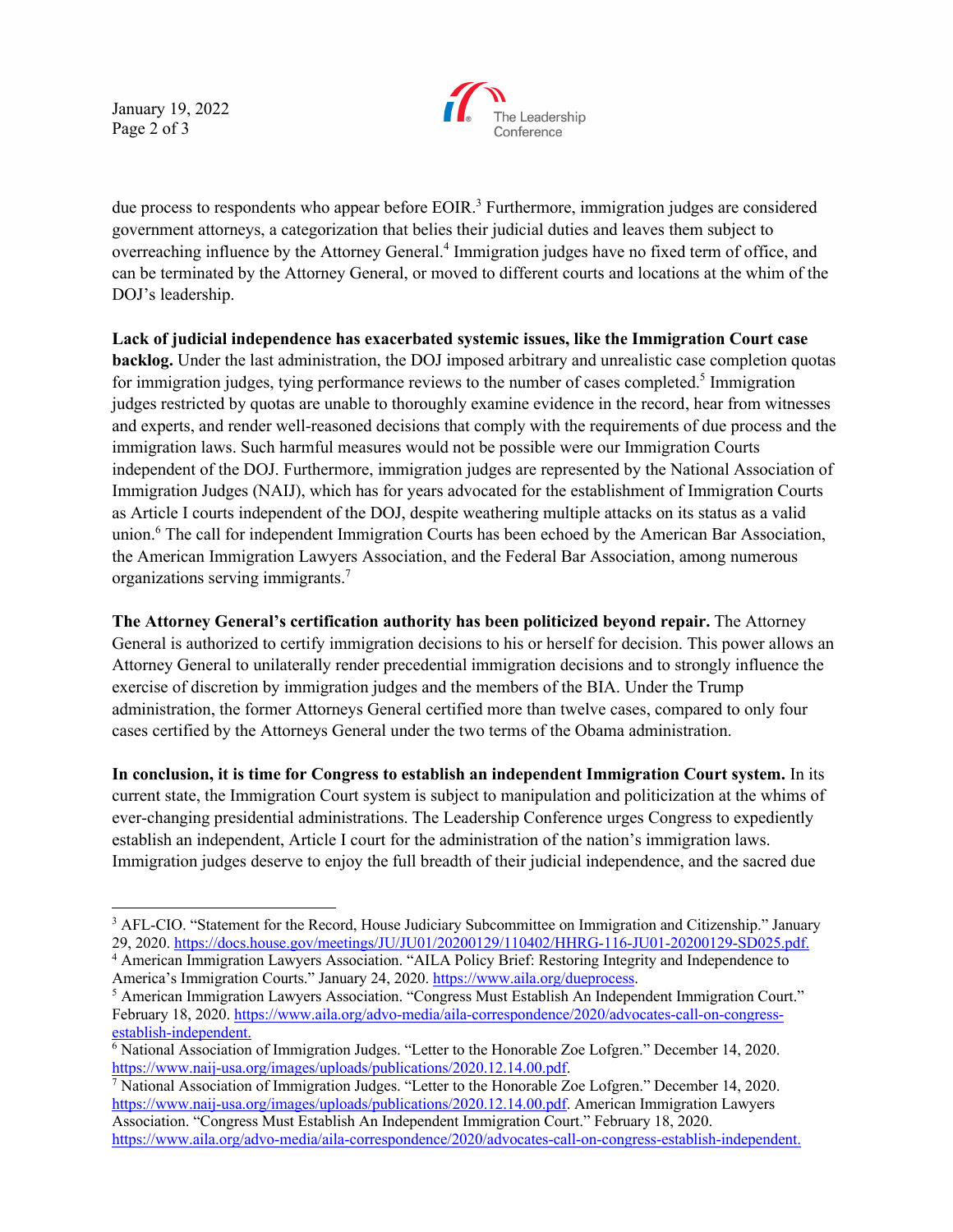January 19, 2022 Page 2 of 3



due process to respondents who appear before EOIR.<sup>3</sup> Furthermore, immigration judges are considered government attorneys, a categorization that belies their judicial duties and leaves them subject to overreaching influence by the Attorney General.4 Immigration judges have no fixed term of office, and can be terminated by the Attorney General, or moved to different courts and locations at the whim of the DOJ's leadership.

**Lack of judicial independence has exacerbated systemic issues, like the Immigration Court case backlog.** Under the last administration, the DOJ imposed arbitrary and unrealistic case completion quotas for immigration judges, tying performance reviews to the number of cases completed.<sup>5</sup> Immigration judges restricted by quotas are unable to thoroughly examine evidence in the record, hear from witnesses and experts, and render well-reasoned decisions that comply with the requirements of due process and the immigration laws. Such harmful measures would not be possible were our Immigration Courts independent of the DOJ. Furthermore, immigration judges are represented by the National Association of Immigration Judges (NAIJ), which has for years advocated for the establishment of Immigration Courts as Article I courts independent of the DOJ, despite weathering multiple attacks on its status as a valid union. <sup>6</sup> The call for independent Immigration Courts has been echoed by the American Bar Association, the American Immigration Lawyers Association, and the Federal Bar Association, among numerous organizations serving immigrants. 7

**The Attorney General's certification authority has been politicized beyond repair.** The Attorney General is authorized to certify immigration decisions to his or herself for decision. This power allows an Attorney General to unilaterally render precedential immigration decisions and to strongly influence the exercise of discretion by immigration judges and the members of the BIA. Under the Trump administration, the former Attorneys General certified more than twelve cases, compared to only four cases certified by the Attorneys General under the two terms of the Obama administration.

**In conclusion, it is time for Congress to establish an independent Immigration Court system.** In its current state, the Immigration Court system is subject to manipulation and politicization at the whims of ever-changing presidential administrations. The Leadership Conference urges Congress to expediently establish an independent, Article I court for the administration of the nation's immigration laws. Immigration judges deserve to enjoy the full breadth of their judicial independence, and the sacred due

<sup>&</sup>lt;sup>3</sup> AFL-CIO. "Statement for the Record, House Judiciary Subcommittee on Immigration and Citizenship." January 29, 2020. https://docs.house.gov/meetings/JU/JU01/20200129/110402/HHRG-116-JU01-20200129-SD025.pdf.

<sup>4</sup> American Immigration Lawyers Association. "AILA Policy Brief: Restoring Integrity and Independence to America's Immigration Courts." January 24, 2020. https://www.aila.org/dueprocess.<br>
<sup>5</sup> American Immigration Lawyers Association. "Congress Must Establish An Independent Immigration Court."

February 18, 2020. https://www.aila.org/advo-media/aila-correspondence/2020/advocates-call-on-congressestablish-independent.

<sup>6</sup> National Association of Immigration Judges. "Letter to the Honorable Zoe Lofgren." December 14, 2020. https://www.naij-usa.org/images/uploads/publications/2020.12.14.00.pdf.<br><sup>7</sup> National Association of Immigration Judges. "Letter to the Honorable Zoe Lofgren." December 14, 2020.

https://www.naij-usa.org/images/uploads/publications/2020.12.14.00.pdf. American Immigration Lawyers Association. "Congress Must Establish An Independent Immigration Court." February 18, 2020. https://www.aila.org/advo-media/aila-correspondence/2020/advocates-call-on-congress-establish-independent.